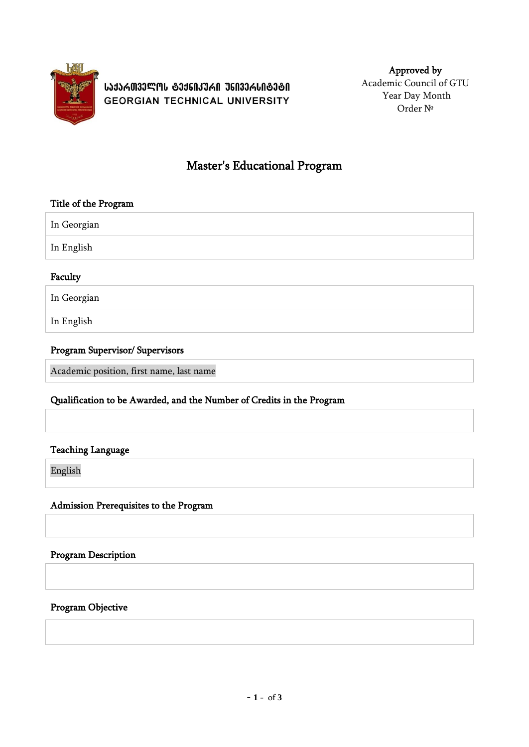

**ᲡᲐᲥᲐᲠᲗᲕᲔᲚᲝᲡ ᲢᲔᲥᲜᲘᲙᲣᲠᲘ ᲣᲜᲘᲕᲔᲠᲡᲘᲢᲔᲢᲘ GEORGIAN TECHNICAL UNIVERSITY** 

Approved by Academic Council of GTU Year Day Month Order №

# Master's Educational Program

| Title of the Program |  |
|----------------------|--|
| In Georgian          |  |
| In English           |  |
| Faculty              |  |
| In Georgian          |  |
| In English           |  |
|                      |  |

## Program Supervisor/ Supervisors

Academic position, first name, last name

### Qualification to be Awarded, and the Number of Credits in the Program

## Teaching Language

English

## Admission Prerequisites to the Program

## Program Description

## Program Objective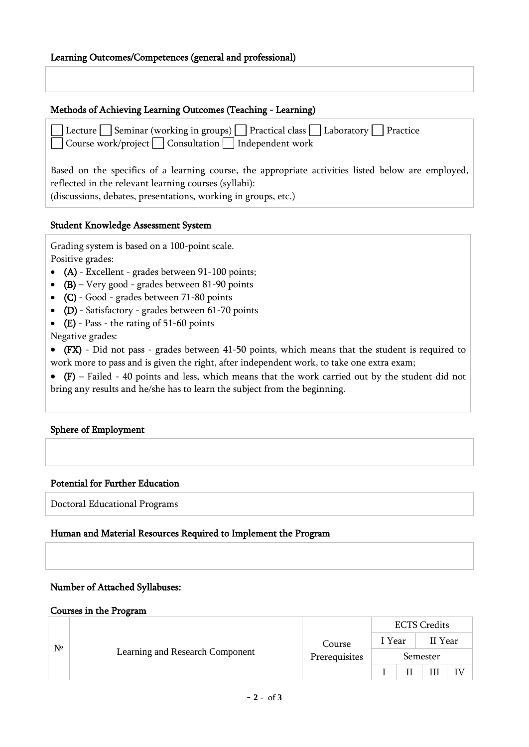|  | Learning Outcomes/Competences (general and professional) |  |  |
|--|----------------------------------------------------------|--|--|
|  |                                                          |  |  |

### Methods of Achieving Learning Outcomes (Teaching - Learning)

| Lecture   Seminar (working in groups)   Practical class   Laboratory   Practice<br>□ Course work/project □ Consultation □ Independent work                                                                                        |
|-----------------------------------------------------------------------------------------------------------------------------------------------------------------------------------------------------------------------------------|
| Based on the specifics of a learning course, the appropriate activities listed below are employed,                                                                                                                                |
| reflected in the relevant learning courses (syllabi):                                                                                                                                                                             |
| $\mathcal{L}$ and the contract of the contract of the contract of the contract of the contract of the contract of the contract of the contract of the contract of the contract of the contract of the contract of the contract of |

|  | (discussions, debates, presentations, working in groups, etc.) |  |
|--|----------------------------------------------------------------|--|

#### Student Knowledge Assessment System

Grading system is based on a 100-point scale. Positive grades:

- (A) Excellent grades between 91-100 points;
- $(B)$  Very good grades between 81-90 points
- (C) Good grades between 71-80 points
- (D) Satisfactory grades between 61-70 points
- $\bullet$  (E) Pass the rating of 51-60 points

Negative grades:

 (FX) - Did not pass - grades between 41-50 points, which means that the student is required to work more to pass and is given the right, after independent work, to take one extra exam;

 (F) – Failed - 40 points and less, which means that the work carried out by the student did not bring any results and he/she has to learn the subject from the beginning.

#### Sphere of Employment

### Potential for Further Education

Doctoral Educational Programs

#### Human and Material Resources Required to Implement the Program

### Number of Attached Syllabuses:

#### Courses in the Program

|                |                                 |                         |          |  | <b>ECTS Credits</b> |  |
|----------------|---------------------------------|-------------------------|----------|--|---------------------|--|
| N <sup>o</sup> | Learning and Research Component | Course<br>Prerequisites | I Year   |  | II Year             |  |
|                |                                 |                         | Semester |  |                     |  |
|                |                                 |                         |          |  |                     |  |